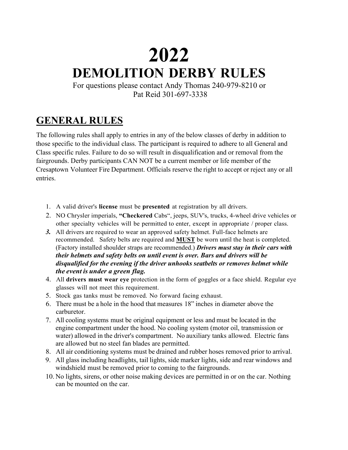# **2021 2022DEMOLITION DERBY RULES**

For questions please contact Andy Thomas 240-979-8210 or Pat Reid 301-697-3338

### **GENERAL RULES**

The following rules shall apply to entries in any of the below classes of derby in addition to those specific to the individual class. The participant is required to adhere to all General and Class specific rules. Failure to do so will result in disqualification and or removal from the fairgrounds. Derby participants CAN NOT be a current member or life member of the Cresaptown Volunteer Fire Department. Officials reserve the right to accept or reject any or all entries.

- 1. A valid driver's **license** must be **presented** at registration by all drivers.
- 2. NO Chrysler imperials, **"Checkered** Cabs", jeeps, SUV's, trucks, 4-wheel drive vehicles or other specialty vehicles will be permitted to enter, except in appropriate / proper class.
- *3.* All drivers are required to wear an approved safety helmet. Full-face helmets are recommended. Safety belts are required and **MUST** be worn until the heat is completed. (Factory installed shoulder straps are recommended.) *Drivers must stay in their cars with their helmets and safety belts on until event is over. Bars and drivers will be disqualified for the evening if the driver unhooks seatbelts or removes helmet while the event is under a green flag.*
- 4. All **drivers must wear eye** protection in the form of goggles or a face shield. Regular eye glasses will not meet this requirement.
- 5. Stock gas tanks must be removed. No forward facing exhaust.
- 6. There must be a hole in the hood that measures 18" inches in diameter above the carburetor.
- 7. All cooling systems must be original equipment or less and must be located in the engine compartment under the hood. No cooling system (motor oil, transmission or water) allowed in the driver's compartment. No auxiliary tanks allowed. Electric fans are allowed but no steel fan blades are permitted.
- 8. All air conditioning systems must be drained and rubber hoses removed prior to arrival.
- 9. All glass including headlights, tail lights, side marker lights, side and rear windows and windshield must be removed prior to coming to the fairgrounds.
- 10. No lights, sirens, or other noise making devices are permitted in or on the car. Nothing can be mounted on the car.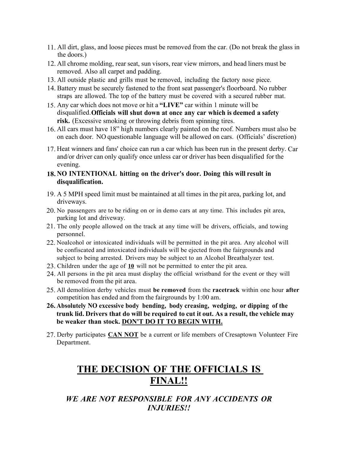- 11. All dirt, glass, and loose pieces must be removed from the car. (Do not break the glass in the doors.)
- 12. All chrome molding, rear seat, sun visors, rear view mirrors, and head liners must be removed. Also all carpet and padding.
- 13. All outside plastic and grills must be removed, including the factory nose piece.
- 14. Battery must be securely fastened to the front seat passenger's floorboard. No rubber straps are allowed. The top of the battery must be covered with a secured rubber mat.
- 15. Any car which does not move or hit a **"LIVE"** car within 1 minute will be disqualified.**Officials will shut down at once any car which is deemed a safety risk.** (Excessive smoking or throwing debris from spinning tires.
- 16. All cars must have 18" high numbers clearly painted on the roof. Numbers must also be on each door. NO questionable language will be allowed on cars. (Officials' discretion)
- 17. Heat winners and fans' choice can run a car which has been run in the present derby. Car and/or driver can only qualify once unless car or driver has been disqualified for the evening.

#### **18. NO INTENTIONAL hitting on the driver's door. Doing this will result in disqualification.**

- 19. A 5 MPH speed limit must be maintained at all times in the pit area, parking lot, and driveways.
- 20. No passengers are to be riding on or in demo cars at any time. This includes pit area, parking lot and driveway.
- 21. The only people allowed on the track at any time will be drivers, officials, and towing personnel.
- 22. Noalcohol or intoxicated individuals will be permitted in the pit area. Any alcohol will be confiscated and intoxicated individuals will be ejected from the fairgrounds and subject to being arrested. Drivers may be subject to an Alcohol Breathalyzer test.
- 23. Children under the age of 10 will not be permitted to enter the pit area.
- 24. All persons in the pit area must display the official wristband for the event or they will be removed from the pit area.
- 25. All demolition derby vehicles must **be removed** from the **racetrack** within one hour **after** competition has ended and from the fairgrounds by 1:00 am.
- **26. Absolutely NO excessive body bending, body creasing, wedging, or dipping of the trunk lid. Drivers that do will be required to cut it out. As a result, the vehicle may be weaker than stock. DON'T DO IT TO BEGIN WITH.**
- 27. Derby participates **CAN NOT** be a current or life members of Cresaptown Volunteer Fire Department.

### **THE DECISION OF THE OFFICIALS IS FINAL!!**

### *WE ARE NOT RESPONSIBLE FOR ANY ACCIDENTS OR INJURIES!!*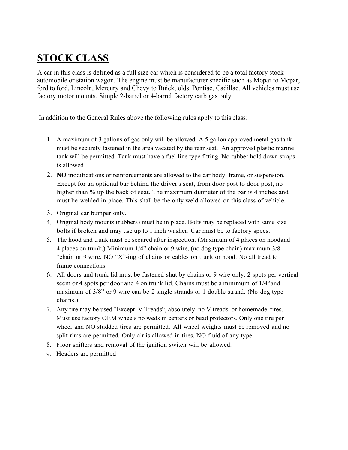## **STOCK CLASS**

A car in this class is defined as a full size car which is considered to be a total factory stock automobile or station wagon. The engine must be manufacturer specific such as Mopar to Mopar, ford to ford, Lincoln, Mercury and Chevy to Buick, olds, Pontiac, Cadillac. All vehicles must use factory motor mounts. Simple 2-barrel or 4-barrel factory carb gas only.

In addition to the General Rules above the following rules apply to this class:

- 1. A maximum of 3 gallons of gas only will be allowed. A 5 gallon approved metal gas tank must be securely fastened in the area vacated by the rear seat. An approved plastic marine tank will be permitted. Tank must have a fuel line type fitting. No rubber hold down straps is allowed.
- 2. **NO** modifications or reinforcements are allowed to the car body, frame, or suspension. Except for an optional bar behind the driver's seat, from door post to door post, no higher than % up the back of seat. The maximum diameter of the bar is 4 inches and must be welded in place. This shall be the only weld allowed on this class of vehicle.
- 3. Original car bumper only.
- 4. Original body mounts (rubbers) must be in place. Bolts may be replaced with same size bolts if broken and may use up to 1 inch washer. Car must be to factory specs.
- 5. The hood and trunk must be secured after inspection. (Maximum of 4 places on hoodand 4 places on trunk.) Minimum 1/4" chain or 9 wire, (no dog type chain) maximum 3/8 "chain or 9 wire. NO "X"-ing of chains or cables on trunk or hood. No all tread to frame connections.
- 6. All doors and trunk lid must be fastened shut by chains or 9 wire only. 2 spots per vertical seem or 4 spots per door and 4 on trunk lid. Chains must be a minimum of 1/4"and maximum of  $3/8$ " or 9 wire can be 2 single strands or 1 double strand. (No dog type chains.)
- 7. Any tire may be used "Except V Treads", absolutely no V treads or homemade tires. Must use factory OEM wheels no weds in centers or bead protectors. Only one tire per wheel and NO studded tires are permitted. All wheel weights must be removed and no split rims are permitted. Only air is allowed in tires, NO fluid of any type.
- 8. Floor shifters and removal of the ignition switch will be allowed.
- 9. Headers are permitted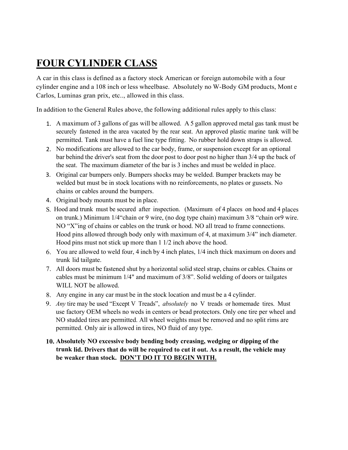# **FOUR CYLINDER CLASS**

A car in this class is defined as a factory stock American or foreign automobile with a four cylinder engine and a 108 inch or less wheelbase. Absolutely no W-Body GM products, Mont e Carlos, Luminas gran prix, etc.., allowed in this class.

In addition to the General Rules above, the following additional rules apply to this class:

- 1. A maximum of 3 gallons of gas will be allowed. A 5 gallon approved metal gas tank must be securely fastened in the area vacated by the rear seat. An approved plastic marine tank will be permitted. Tank must have a fuel line type fitting. No rubber hold down straps is allowed.
- 2. No modifications are allowed to the car body, frame, or suspension except for an optional bar behind the driver's seat from the door post to door post no higher than 3/4 up the back of the seat. The maximum diameter of the bar is 3 inches and must be welded in place.
- 3. Original car bumpers only. Bumpers shocks may be welded. Bumper brackets may be welded but must be in stock locations with no reinforcements, no plates or gussets. No chains or cables around the bumpers.
- 4. Original body mounts must be in place.
- S. Hood and trunk must be secured after inspection. (Maximum of 4 places on hood and 4 places on trunk.) Minimum 1/4"chain or 9 wire, (no dog type chain) maximum 3/8 "chain or9 wire. NO "X"ing of chains or cables on the trunk or hood. NO all tread to frame connections. Hood pins allowed through body only with maximum of 4, at maximum 3/4" inch diameter. Hood pins must not stick up more than 1 1/2 inch above the hood.
- 6. You are allowed to weld four, 4 inch by 4 inch plates, 1/4 inch thick maximum on doors and trunk lid tailgate.
- 7. All doors must be fastened shut by a horizontal solid steel strap, chains or cables. Chains or cables must be minimum 1/4" and maximum of 3/8". Solid welding of doors or tailgates WILL NOT be allowed.
- 8. Any engine in any car must be in the stock location and must be a 4 cylinder.
- 9. *Any* tire may be used "Except V Treads", *absolutely* no V treads or homemade tires. Must use factory OEM wheels no weds in centers or bead protectors. Only one tire per wheel and NO studded tires are permitted. All wheel weights must be removed and no split rims are permitted. Only air is allowed in tires, NO fluid of any type.

#### **10. Absolutely NO excessive body bending body creasing, wedging or dipping of the trunk lid. Drivers that do will be required to cut it out. As a result, the vehicle may be weaker than stock. DON'T DO IT TO BEGIN WITH.**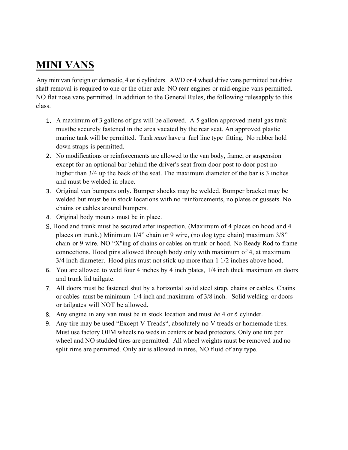### **MINI VANS**

Any minivan foreign or domestic, 4 or 6 cylinders. AWD or 4 wheel drive vans permitted but drive shaft removal is required to one or the other axle. NO rear engines or mid-engine vans permitted. NO flat nose vans permitted. In addition to the General Rules, the following rulesapply to this class.

- 1. A maximum of 3 gallons of gas will be allowed. A 5 gallon approved metal gas tank mustbe securely fastened in the area vacated by the rear seat. An approved plastic marine tank will be permitted. Tank *must* have a fuel line type fitting. No rubber hold down straps is permitted.
- 2. No modifications or reinforcements are allowed to the van body, frame, or suspension except for an optional bar behind the driver's seat from door post to door post no higher than 3/4 up the back of the seat. The maximum diameter of the bar is 3 inches and must be welded in place.
- 3. Original van bumpers only. Bumper shocks may be welded. Bumper bracket may be welded but must be in stock locations with no reinforcements, no plates or gussets. No chains or cables around bumpers.
- 4. Original body mounts must be in place.
- S. Hood and trunk must be secured after inspection. (Maximum of 4 places on hood and 4 places on trunk.) Minimum 1/4" chain or 9 wire, (no dog type chain) maximum 3/8" chain or 9 wire. NO "X"ing of chains or cables on trunk or hood. No Ready Rod to frame connections. Hood pins allowed through body only with maximum of 4, at maximum 3/4 inch diameter. Hood pins must not stick up more than 1 1/2 inches above hood.
- 6. You are allowed to weld four 4 inches by 4 inch plates, 1/4 inch thick maximum on doors and trunk lid tailgate.
- 7. All doors must be fastened shut by a horizontal solid steel strap, chains or cables. Chains or cables must be minimum 1/4 inch and maximum of 3/8 inch. Solid welding or doors or tailgates will NOT be allowed.
- 8. Any engine in any van must be in stock location and must *be* 4 or *6* cylinder.
- 9. Any tire may be used "Except V Treads", absolutely no V treads or homemade tires. Must use factory OEM wheels no weds in centers or bead protectors. Only one tire per wheel and NO studded tires are permitted. All wheel weights must be removed and no split rims are permitted. Only air is allowed in tires, NO fluid of any type.